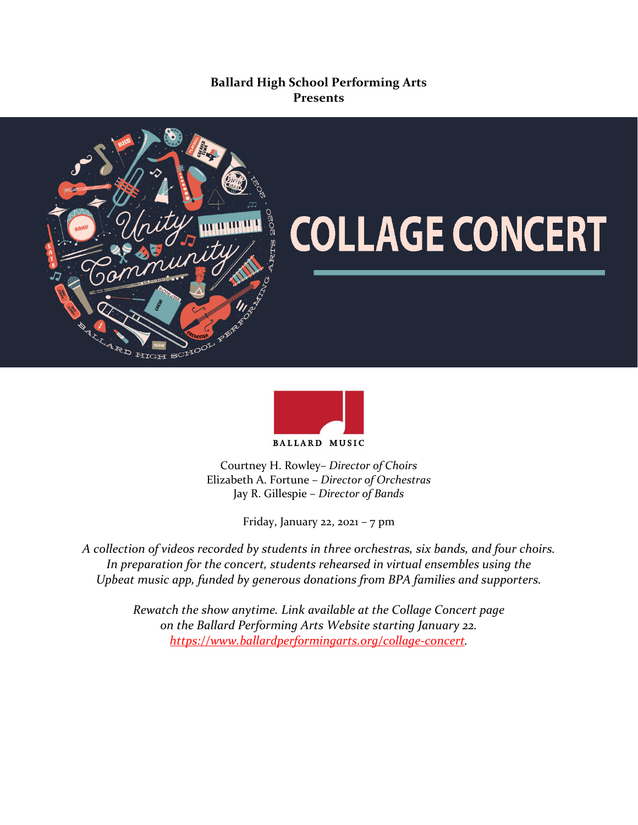# **Ballard High School Performing Arts Presents**



# پ<br>ـ



Courtney H. Rowley– *Director of Choirs* Elizabeth A. Fortune – *Director of Orchestras* Jay R. Gillespie – *Director of Bands*

Friday, January 22, 2021 – 7 pm

*A collection of videos recorded by students in three orchestras, six bands, and four choirs. In preparation for the concert, students rehearsed in virtual ensembles using the Upbeat music app, funded by generous donations from BPA families and supporters.* 

> *Rewatch the show anytime. Link available at the Collage Concert page on the Ballard Performing Arts Website starting January 22. [https://www.ballardperformingarts.org/collage-concert.](https://www.ballardperformingarts.org/collage-concert)*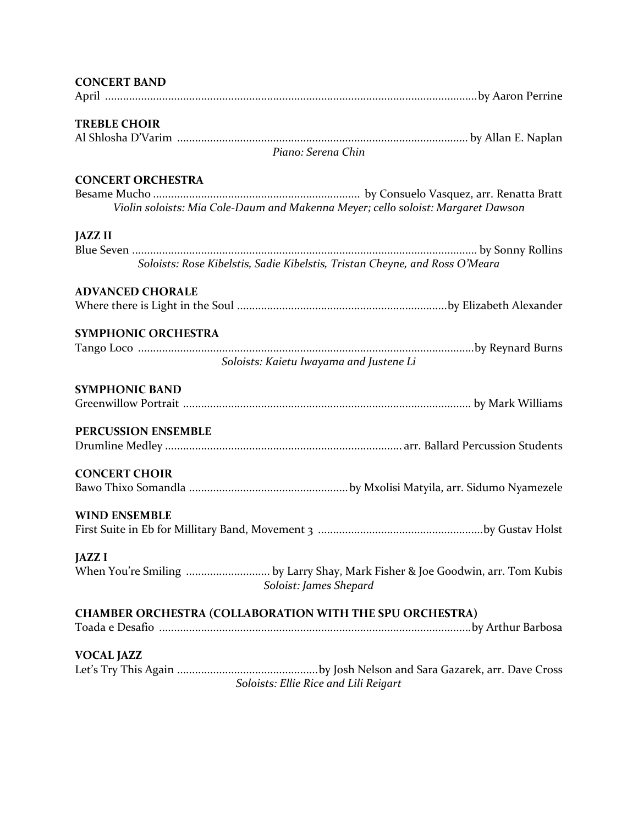| <b>CONCERT BAND</b>                                                              |
|----------------------------------------------------------------------------------|
|                                                                                  |
|                                                                                  |
| <b>TREBLE CHOIR</b>                                                              |
| Piano: Serena Chin                                                               |
|                                                                                  |
| <b>CONCERT ORCHESTRA</b>                                                         |
|                                                                                  |
| Violin soloists: Mia Cole-Daum and Makenna Meyer; cello soloist: Margaret Dawson |
| <b>JAZZ II</b>                                                                   |
|                                                                                  |
| Soloists: Rose Kibelstis, Sadie Kibelstis, Tristan Cheyne, and Ross O'Meara      |
|                                                                                  |
| <b>ADVANCED CHORALE</b>                                                          |
|                                                                                  |
|                                                                                  |
| SYMPHONIC ORCHESTRA                                                              |
|                                                                                  |
| Soloists: Kaietu Iwayama and Justene Li                                          |
| <b>SYMPHONIC BAND</b>                                                            |
|                                                                                  |
|                                                                                  |
| PERCUSSION ENSEMBLE                                                              |
|                                                                                  |
|                                                                                  |
| <b>CONCERT CHOIR</b>                                                             |
|                                                                                  |
|                                                                                  |
| <b>WIND ENSEMBLE</b>                                                             |
|                                                                                  |
| <b>JAZZ I</b>                                                                    |
| When You're Smiling by Larry Shay, Mark Fisher & Joe Goodwin, arr. Tom Kubis     |
| Soloist: James Shepard                                                           |
|                                                                                  |
| CHAMBER ORCHESTRA (COLLABORATION WITH THE SPU ORCHESTRA)                         |
|                                                                                  |
|                                                                                  |
| <b>VOCAL JAZZ</b>                                                                |
|                                                                                  |
| Soloists: Ellie Rice and Lili Reigart                                            |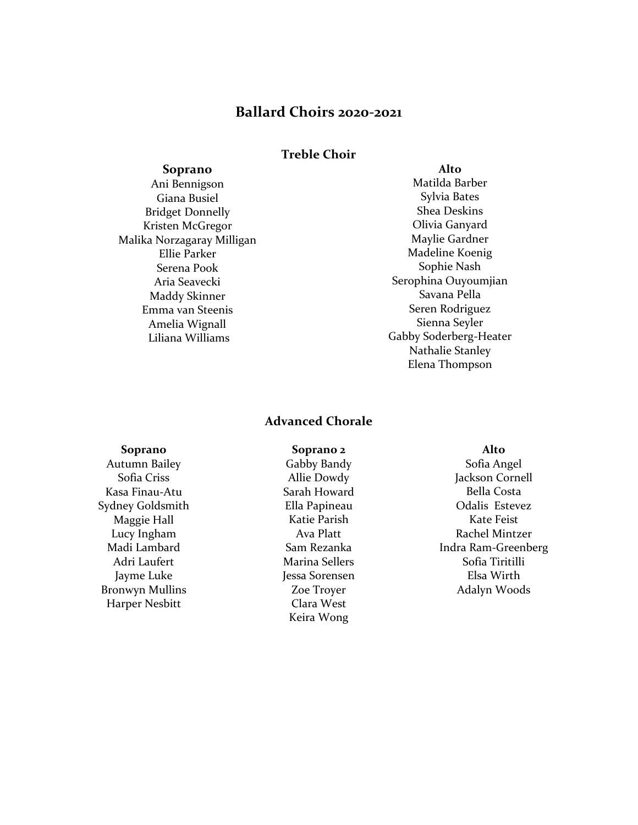# **Ballard Choirs 2020-2021**

## **Treble Choir**

#### **Soprano**

Ani Bennigson Giana Busiel Bridget Donnelly Kristen McGregor Malika Norzagaray Milligan Ellie Parker Serena Pook Aria Seavecki Maddy Skinner Emma van Steenis Amelia Wignall Liliana Williams

#### **Alto**

Matilda Barber Sylvia Bates Shea Deskins Olivia Ganyard Maylie Gardner Madeline Koenig Sophie Nash Serophina Ouyoumjian Savana Pella Seren Rodriguez Sienna Seyler Gabby Soderberg-Heater Nathalie Stanley Elena Thompson

### **Advanced Chorale**

#### **Soprano**

Autumn Bailey Sofia Criss Kasa Finau-Atu Sydney Goldsmith Maggie Hall Lucy Ingham Madi Lambard Adri Laufert Jayme Luke Bronwyn Mullins Harper Nesbitt

**Soprano 2** Gabby Bandy Allie Dowdy Sarah Howard Ella Papineau Katie Parish Ava Platt Sam Rezanka Marina Sellers Jessa Sorensen Zoe Troyer Clara West Keira Wong

#### **Alto**

Sofia Angel Jackson Cornell Bella Costa Odalis Estevez Kate Feist Rachel Mintzer Indra Ram-Greenberg Sofia Tiritilli Elsa Wirth Adalyn Woods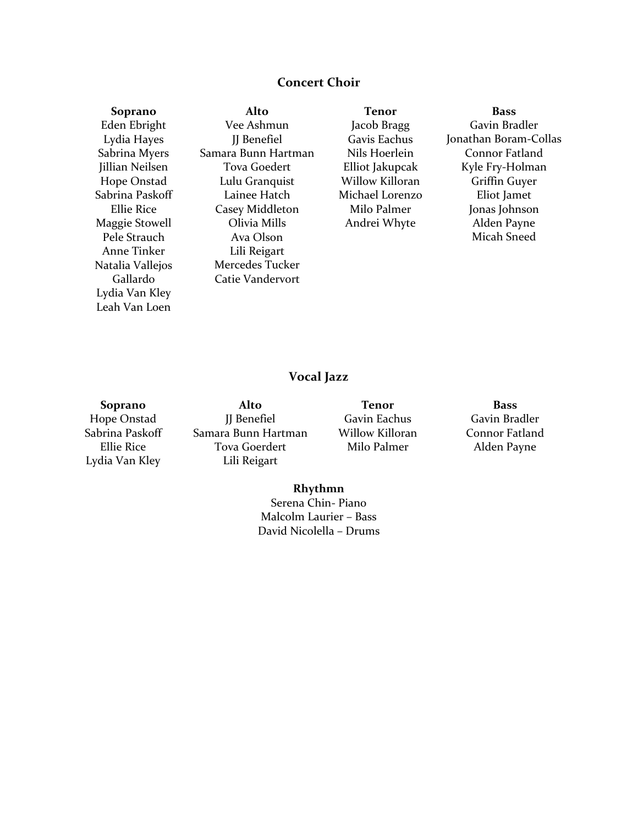# **Concert Choir**

**Soprano** Eden Ebright Lydia Hayes Sabrina Myers Jillian Neilsen Hope Onstad Sabrina Paskoff Ellie Rice Maggie Stowell Pele Strauch Anne Tinker Natalia Vallejos Gallardo Lydia Van Kley Leah Van Loen

**Alto** Vee Ashmun JJ Benefiel Samara Bunn Hartman Tova Goedert Lulu Granquist Lainee Hatch Casey Middleton Olivia Mills Ava Olson Lili Reigart Mercedes Tucker Catie Vandervort

**Tenor** Jacob Bragg Gavis Eachus Nils Hoerlein Elliot Jakupcak Willow Killoran Michael Lorenzo Milo Palmer Andrei Whyte

**Bass** Gavin Bradler Jonathan Boram-Collas Connor Fatland Kyle Fry-Holman Griffin Guyer Eliot Jamet Jonas Johnson Alden Payne Micah Sneed

# **Vocal Jazz**

**Soprano** Hope Onstad Sabrina Paskoff Ellie Rice Lydia Van Kley

**Alto** JJ Benefiel Samara Bunn Hartman Tova Goerdert Lili Reigart

**Tenor** Gavin Eachus Willow Killoran Milo Palmer

**Bass** Gavin Bradler Connor Fatland Alden Payne

#### **Rhythmn**

Serena Chin- Piano Malcolm Laurier – Bass David Nicolella – Drums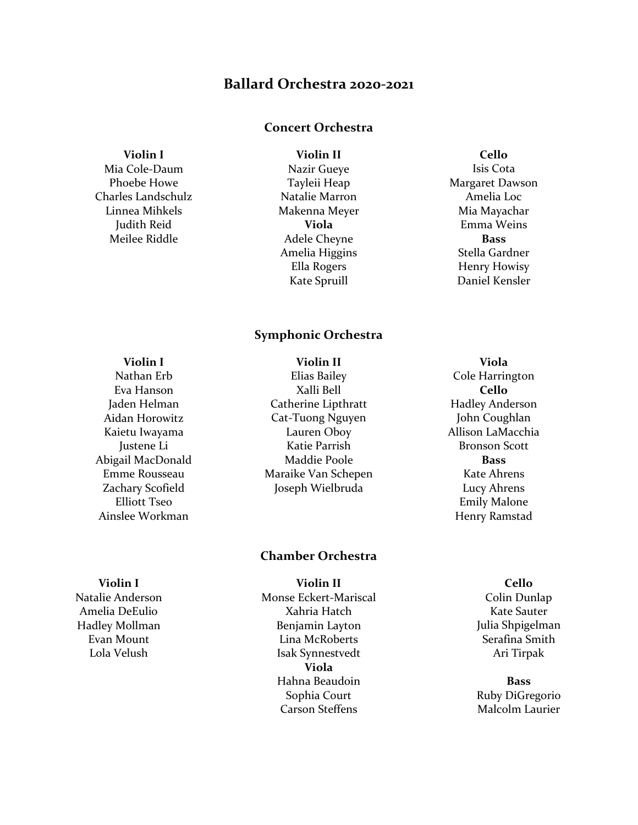# **Ballard Orchestra 2020-2021**

## **Concert Orchestra**

**Violin I**

Mia Cole-Daum Phoebe Howe Charles Landschulz Linnea Mihkels Judith Reid Meilee Riddle

**Violin II** Nazir Gueye Tayleii Heap Natalie Marron Makenna Meyer **Viola** Adele Cheyne Amelia Higgins Ella Rogers Kate Spruill

## **Symphonic Orchestra**

**Violin II**

#### **Violin I**

Nathan Erb Eva Hanson Jaden Helman Aidan Horowitz Kaietu Iwayama Justene Li Abigail MacDonald Emme Rousseau Zachary Scofield Elliott Tseo Ainslee Workman

Elias Bailey Xalli Bell Catherine Lipthratt Cat-Tuong Nguyen Lauren Oboy Katie Parrish Maddie Poole Maraike Van Schepen Joseph Wielbruda

## **Chamber Orchestra**

**Violin II** Monse Eckert-Mariscal Xahria Hatch Benjamin Layton Lina McRoberts Isak Synnestvedt **Viola** Hahna Beaudoin Sophia Court Carson Steffens

## Margaret Dawson Amelia Loc Mia Mayachar Emma Weins **Bass** Stella Gardner Henry Howisy

Daniel Kensler

**Cello** Isis Cota

**Viola** Cole Harrington **Cello** Hadley Anderson John Coughlan Allison LaMacchia Bronson Scott **Bass** Kate Ahrens Lucy Ahrens Emily Malone Henry Ramstad

> **Cello** Colin Dunlap Kate Sauter Julia Shpigelman Serafina Smith Ari Tirpak

> **Bass** Ruby DiGregorio Malcolm Laurier

# **Violin I**

Natalie Anderson Amelia DeEulio Hadley Mollman Evan Mount Lola Velush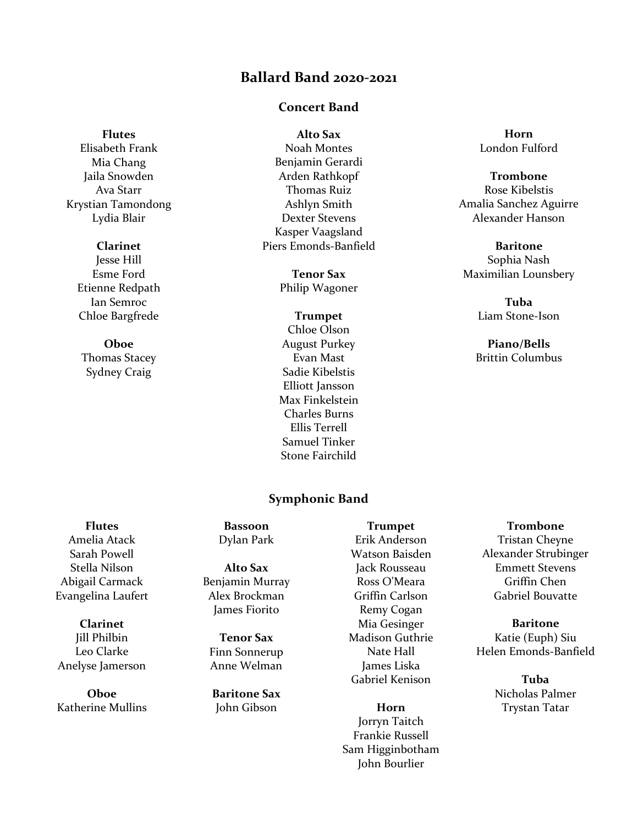# **Ballard Band 2020-2021**

## **Concert Band**

#### **Flutes**

Elisabeth Frank Mia Chang Jaila Snowden Ava Starr Krystian Tamondong Lydia Blair

### **Clarinet**

Jesse Hill Esme Ford Etienne Redpath Ian Semroc Chloe Bargfrede

# **Oboe**

Thomas Stacey Sydney Craig

## **Alto Sax** Noah Montes Benjamin Gerardi Arden Rathkopf Thomas Ruiz Ashlyn Smith Dexter Stevens Kasper Vaagsland Piers Emonds-Banfield

**Tenor Sax** Philip Wagoner

## **Trumpet** Chloe Olson August Purkey Evan Mast Sadie Kibelstis Elliott Jansson Max Finkelstein Charles Burns Ellis Terrell Samuel Tinker Stone Fairchild

## **Symphonic Band**

**Horn** London Fulford

## **Trombone** Rose Kibelstis Amalia Sanchez Aguirre Alexander Hanson

**Baritone** Sophia Nash Maximilian Lounsbery

> **Tuba** Liam Stone-Ison

**Piano/Bells** Brittin Columbus

# **Flutes** Amelia Atack Sarah Powell Stella Nilson Abigail Carmack Evangelina Laufert

**Clarinet** Jill Philbin Leo Clarke Anelyse Jamerson

**Oboe** Katherine Mullins

### **Bassoon** Dylan Park

**Alto Sax** Benjamin Murray Alex Brockman James Fiorito

**Tenor Sax** Finn Sonnerup Anne Welman

**Baritone Sax** John Gibson

Erik Anderson Watson Baisden Jack Rousseau Ross O'Meara Griffin Carlson Remy Cogan Mia Gesinger Madison Guthrie Nate Hall James Liska Gabriel Kenison

**Trumpet**

**Horn** Jorryn Taitch Frankie Russell Sam Higginbotham John Bourlier

**Trombone** Tristan Cheyne Alexander Strubinger Emmett Stevens Griffin Chen Gabriel Bouvatte

#### **Baritone** Katie (Euph) Siu Helen Emonds-Banfield

**Tuba** Nicholas Palmer Trystan Tatar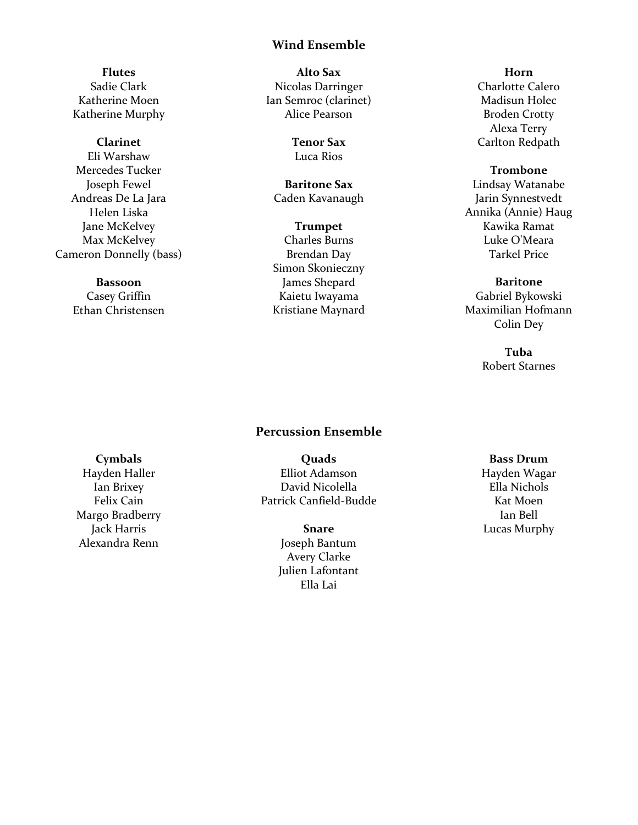## **Wind Ensemble**

**Flutes** Sadie Clark Katherine Moen Katherine Murphy

#### **Clarinet**

Eli Warshaw Mercedes Tucker Joseph Fewel Andreas De La Jara Helen Liska Jane McKelvey Max McKelvey Cameron Donnelly (bass)

#### **Bassoon**

Casey Griffin Ethan Christensen

**Alto Sax** Nicolas Darringer Ian Semroc (clarinet) Alice Pearson

> **Tenor Sax** Luca Rios

**Baritone Sax** Caden Kavanaugh

**Trumpet** Charles Burns Brendan Day Simon Skonieczny James Shepard Kaietu Iwayama Kristiane Maynard

## **Horn** Charlotte Calero Madisun Holec Broden Crotty Alexa Terry Carlton Redpath

**Trombone** Lindsay Watanabe Jarin Synnestvedt Annika (Annie) Haug Kawika Ramat Luke O'Meara Tarkel Price

#### **Baritone**

Gabriel Bykowski Maximilian Hofmann Colin Dey

> **Tuba** Robert Starnes

# **Percussion Ensemble**

#### **Cymbals**

Hayden Haller Ian Brixey Felix Cain Margo Bradberry Jack Harris Alexandra Renn

**Quads** Elliot Adamson David Nicolella Patrick Canfield-Budde

> **Snare** Joseph Bantum Avery Clarke Julien Lafontant Ella Lai

**Bass Drum** Hayden Wagar Ella Nichols Kat Moen Ian Bell Lucas Murphy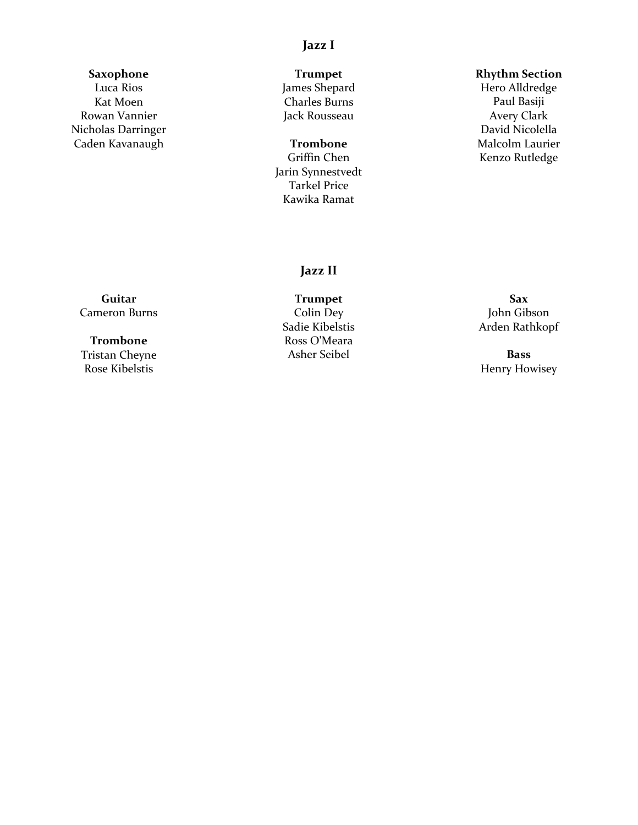# **Jazz I**

# **Saxophone**

Luca Rios Kat Moen Rowan Vannier Nicholas Darringer Caden Kavanaugh

**Trumpet** James Shepard Charles Burns Jack Rousseau

**Trombone** Griffin Chen Jarin Synnestvedt Tarkel Price Kawika Ramat

#### **Rhythm Section**

Hero Alldredge Paul Basiji Avery Clark David Nicolella Malcolm Laurier Kenzo Rutledge

# **Jazz II**

**Guitar** Cameron Burns

## **Trombone** Tristan Cheyne Rose Kibelstis

**Trumpet** Colin Dey Sadie Kibelstis Ross O'Meara Asher Seibel

**Sax** John Gibson Arden Rathkopf

**Bass** Henry Howisey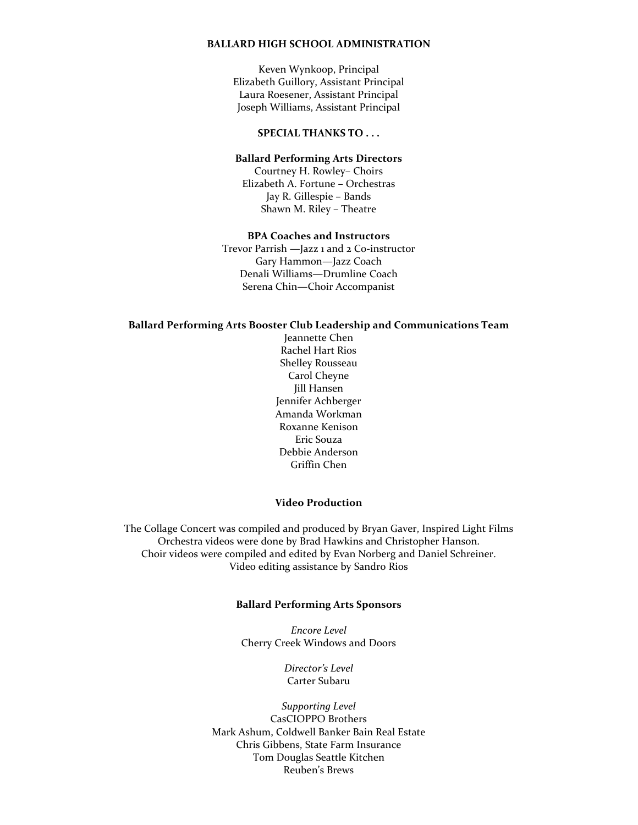#### **BALLARD HIGH SCHOOL ADMINISTRATION**

Keven Wynkoop, Principal Elizabeth Guillory, Assistant Principal Laura Roesener, Assistant Principal Joseph Williams, Assistant Principal

#### **SPECIAL THANKS TO . . .**

#### **Ballard Performing Arts Directors**

Courtney H. Rowley– Choirs Elizabeth A. Fortune – Orchestras Jay R. Gillespie – Bands Shawn M. Riley – Theatre

#### **BPA Coaches and Instructors**

Trevor Parrish —Jazz 1 and 2 Co-instructor Gary Hammon—Jazz Coach Denali Williams—Drumline Coach Serena Chin—Choir Accompanist

#### **Ballard Performing Arts Booster Club Leadership and Communications Team**

Jeannette Chen Rachel Hart Rios Shelley Rousseau Carol Cheyne Jill Hansen Jennifer Achberger Amanda Workman Roxanne Kenison Eric Souza Debbie Anderson Griffin Chen

#### **Video Production**

The Collage Concert was compiled and produced by Bryan Gaver, Inspired Light Films Orchestra videos were done by Brad Hawkins and Christopher Hanson. Choir videos were compiled and edited by Evan Norberg and Daniel Schreiner. Video editing assistance by Sandro Rios

#### **Ballard Performing Arts Sponsors**

*Encore Level* Cherry Creek Windows and Doors

> *Director's Level* Carter Subaru

*Supporting Level* CasCIOPPO Brothers Mark Ashum, Coldwell Banker Bain Real Estate Chris Gibbens, State Farm Insurance Tom Douglas Seattle Kitchen Reuben's Brews